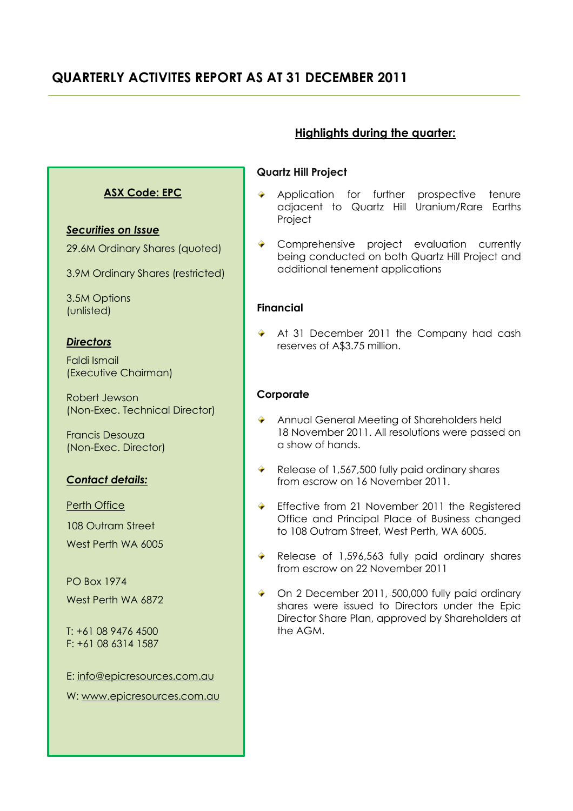# **QUARTERLY ACTIVITES REPORT AS AT 31 DECEMBER 2011**

# **ASX Code: EPC**

# *Securities on Issue*

29.6M Ordinary Shares (quoted)

3.9M Ordinary Shares (restricted)

3.5M Options (unlisted)

# *Directors*

Faldi Ismail (Executive Chairman)

Robert Jewson (Non-Exec. Technical Director)

Francis Desouza (Non-Exec. Director)

# *Contact details:*

Perth Office

108 Outram Street

West Perth WA 6005

PO Box 1974 West Perth WA 6872

T: +61 08 9476 4500 F: +61 08 6314 1587

E: [info@epicresources.com.au](mailto:info@epicresources.com.au)

W: [www.epicresources.com.au](http://www.epicresources.com.au/)

# **Highlights during the quarter:**

# **Quartz Hill Project**

- Application for further prospective tenure adjacent to Quartz Hill Uranium/Rare Earths Project
- Comprehensive project evaluation currently being conducted on both Quartz Hill Project and additional tenement applications

# **Financial**

◆ At 31 December 2011 the Company had cash reserves of A\$3.75 million.

# **Corporate**

- **Annual General Meeting of Shareholders held** 18 November 2011. All resolutions were passed on a show of hands.
- Release of 1,567,500 fully paid ordinary shares from escrow on 16 November 2011.
- ◆ Effective from 21 November 2011 the Registered Office and Principal Place of Business changed to 108 Outram Street, West Perth, WA 6005.
- Release of 1,596,563 fully paid ordinary shares from escrow on 22 November 2011
- ◆ On 2 December 2011, 500,000 fully paid ordinary shares were issued to Directors under the Epic Director Share Plan, approved by Shareholders at the AGM.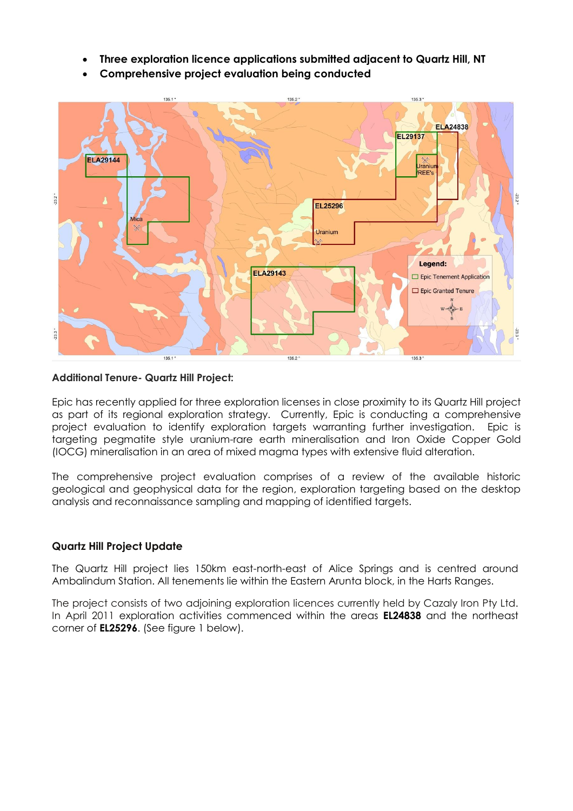- **Three exploration licence applications submitted adjacent to Quartz Hill, NT**
- **Comprehensive project evaluation being conducted**



#### **Additional Tenure- Quartz Hill Project:**

Epic has recently applied for three exploration licenses in close proximity to its Quartz Hill project as part of its regional exploration strategy. Currently, Epic is conducting a comprehensive project evaluation to identify exploration targets warranting further investigation. Epic is targeting pegmatite style uranium-rare earth mineralisation and Iron Oxide Copper Gold (IOCG) mineralisation in an area of mixed magma types with extensive fluid alteration.

The comprehensive project evaluation comprises of a review of the available historic geological and geophysical data for the region, exploration targeting based on the desktop analysis and reconnaissance sampling and mapping of identified targets.

# **Quartz Hill Project Update**

The Quartz Hill project lies 150km east-north-east of Alice Springs and is centred around Ambalindum Station. All tenements lie within the Eastern Arunta block, in the Harts Ranges.

The project consists of two adjoining exploration licences currently held by Cazaly Iron Pty Ltd. In April 2011 exploration activities commenced within the areas **EL24838** and the northeast corner of **EL25296**. (See figure 1 below).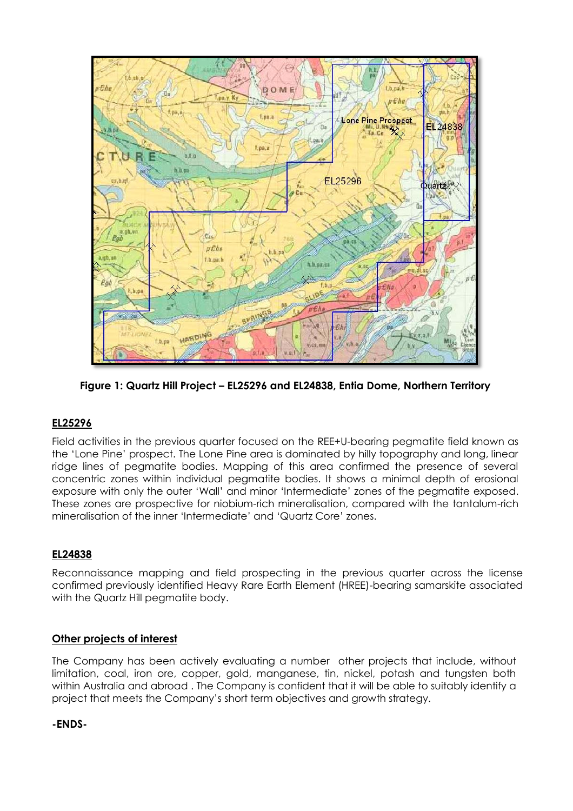

**Figure 1: Quartz Hill Project – EL25296 and EL24838, Entia Dome, Northern Territory**

# **EL25296**

Field activities in the previous quarter focused on the REE+U-bearing pegmatite field known as the 'Lone Pine' prospect. The Lone Pine area is dominated by hilly topography and long, linear ridge lines of pegmatite bodies. Mapping of this area confirmed the presence of several concentric zones within individual pegmatite bodies. It shows a minimal depth of erosional exposure with only the outer 'Wall' and minor 'Intermediate' zones of the pegmatite exposed. These zones are prospective for niobium-rich mineralisation, compared with the tantalum-rich mineralisation of the inner 'Intermediate' and 'Quartz Core' zones.

# **EL24838**

Reconnaissance mapping and field prospecting in the previous quarter across the license confirmed previously identified Heavy Rare Earth Element (HREE)-bearing samarskite associated with the Quartz Hill pegmatite body.

# **Other projects of interest**

The Company has been actively evaluating a number other projects that include, without limitation, coal, iron ore, copper, gold, manganese, tin, nickel, potash and tungsten both within Australia and abroad . The Company is confident that it will be able to suitably identify a project that meets the Company's short term objectives and growth strategy.

#### **-ENDS-**